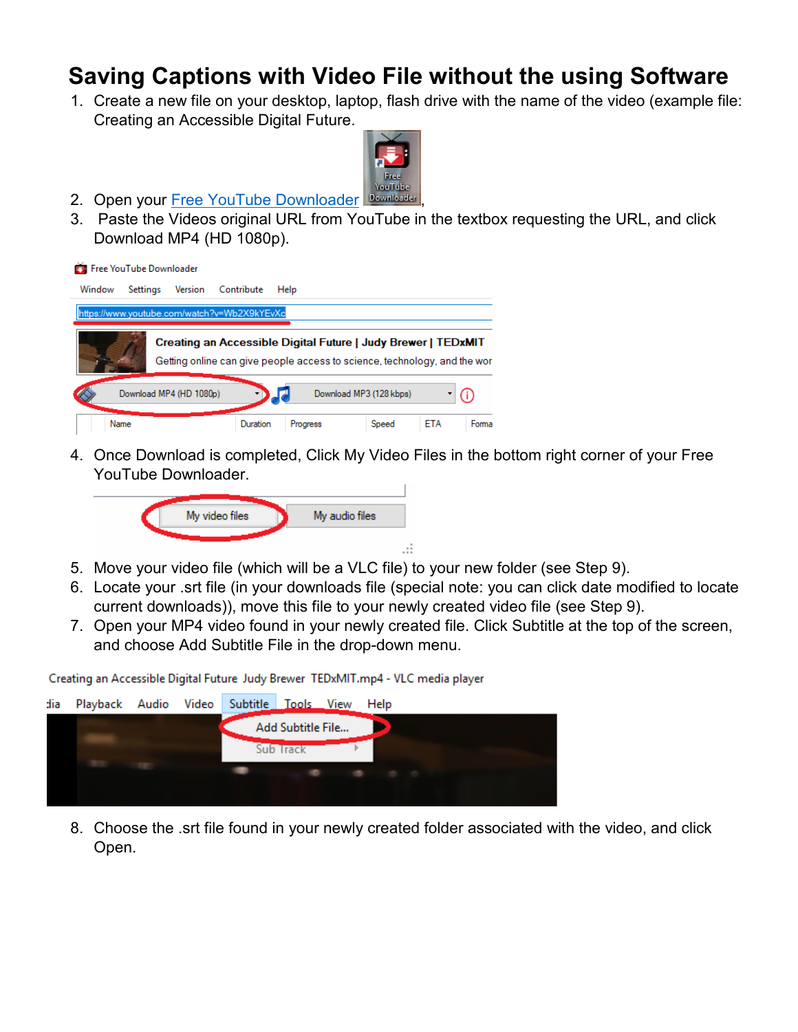## **Saving Captions with Video File without the using Software**

1. Create a new file on your desktop, laptop, flash drive with the name of the video (example file: Creating an Accessible Digital Future.



- 2. Open your [Free YouTube Downloader](https://download.cnet.com/Free-YouTube-Downloader/3000-2071_4-75219434.html) Downloader
- 3. Paste the Videos original URL from YouTube in the textbox requesting the URL, and click Download MP4 (HD 1080p).

|        | Free YouTube Downloader |         |                                                                                                                                            |          |                         |            |       |
|--------|-------------------------|---------|--------------------------------------------------------------------------------------------------------------------------------------------|----------|-------------------------|------------|-------|
| Window | Settings                | Version | Contribute                                                                                                                                 | Help     |                         |            |       |
|        |                         |         | https://www.youtube.com/watch?v=Wb2X9kYEvXc                                                                                                |          |                         |            |       |
|        |                         |         | Creating an Accessible Digital Future   Judy Brewer   TEDxMIT<br>Getting online can give people access to science, technology, and the wor |          |                         |            |       |
|        | Download MP4 (HD 1080p) |         |                                                                                                                                            |          | Download MP3 (128 kbps) |            | (i)   |
| Name   |                         |         | Duration                                                                                                                                   | Progress | Speed                   | <b>ETA</b> | Forma |

4. Once Download is completed, Click My Video Files in the bottom right corner of your Free YouTube Downloader.



- 5. Move your video file (which will be a VLC file) to your new folder (see Step 9).
- 6. Locate your .srt file (in your downloads file (special note: you can click date modified to locate current downloads)), move this file to your newly created video file (see Step 9).
- 7. Open your MP4 video found in your newly created file. Click Subtitle at the top of the screen, and choose Add Subtitle File in the drop-down menu.

Creating an Accessible Digital Future Judy Brewer TEDxMIT.mp4 - VLC media player



8. Choose the .srt file found in your newly created folder associated with the video, and click Open.